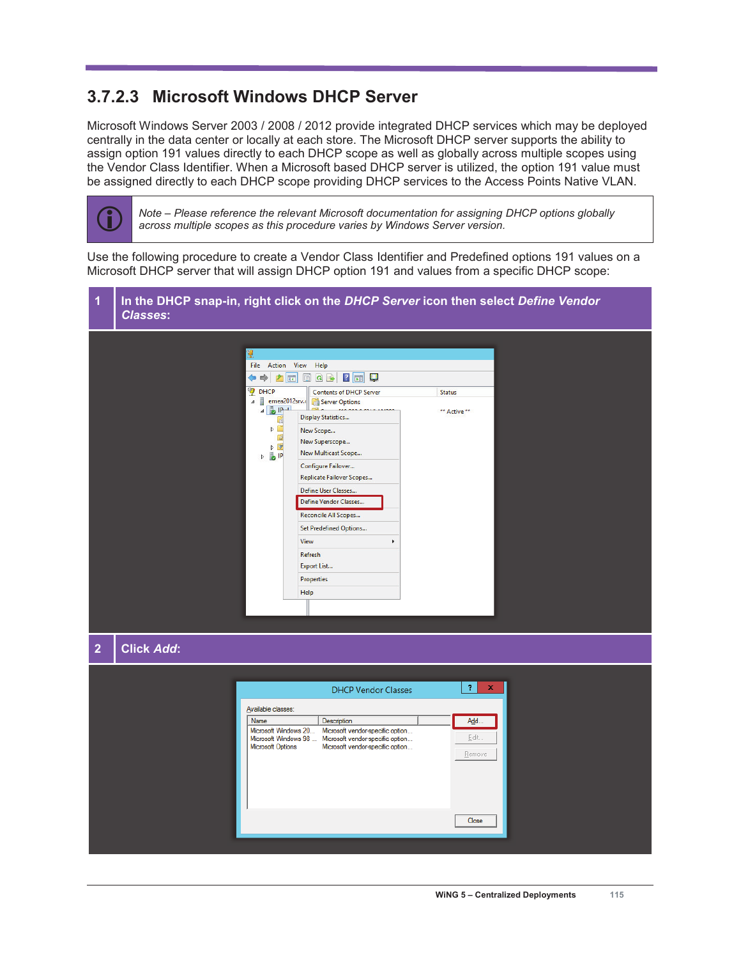## **3.7.2.3 Microsoft Windows DHCP Server**

Microsoft Windows Server 2003 / 2008 / 2012 provide integrated DHCP services which may be deployed centrally in the data center or locally at each store. The Microsoft DHCP server supports the ability to assign option 191 values directly to each DHCP scope as well as globally across multiple scopes using the Vendor Class Identifier. When a Microsoft based DHCP server is utilized, the option 191 value must be assigned directly to each DHCP scope providing DHCP services to the Access Points Native VLAN.



Note – Please reference the relevant Microsoft documentation for assigning DHCP options globally *across multiple scopes as this procedure varies by Windows Server version.*

Use the following procedure to create a Vendor Class Identifier and Predefined options 191 values on a Microsoft DHCP server that will assign DHCP option 191 and values from a specific DHCP scope:

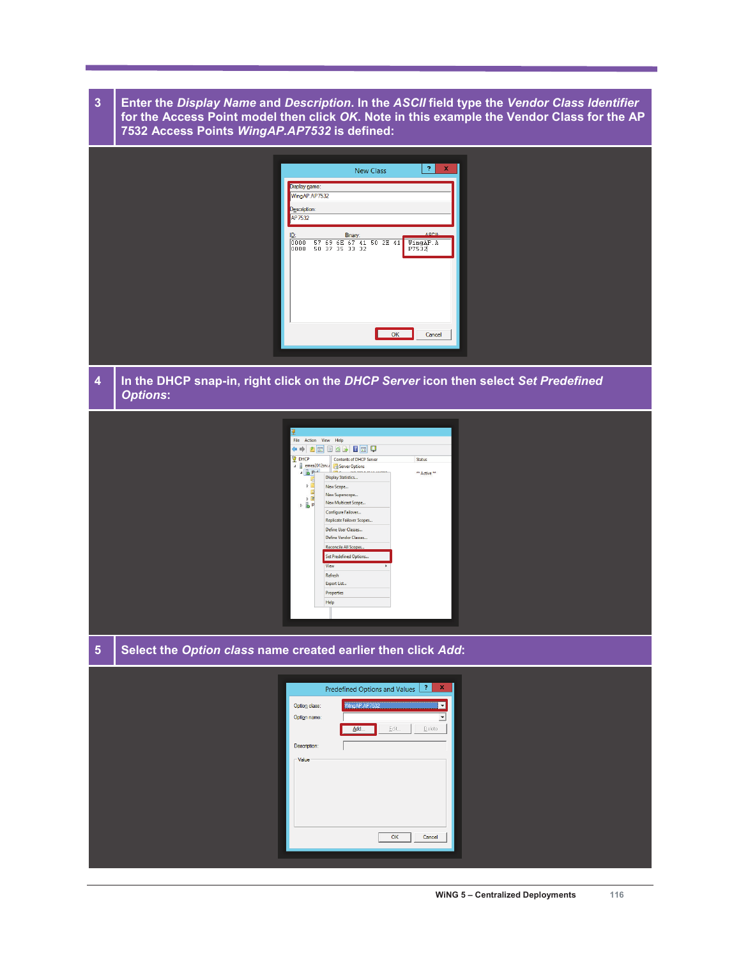**3 Enter the** *Display Name* **and** *Description***. In the** *ASCII* **field type the** *Vendor Class Identifier* **for the Access Point model then click** *OK***. Note in this example the Vendor Class for the AP 7532 Access Points** *WingAP.AP7532* **is defined:** 

|   |                                                                                                        | Display name:<br>WingAP.AP7532<br>Description:<br>AP7532<br>ID:<br>0000<br>10008              | <b>New Class</b><br>Binary:                                                                                                                                                                                                                                               | WingAP.A<br>P7532<br>OK | $\overline{\mathcal{L}}$<br>$\mathbf{x}$<br>ASCII-<br>Cancel |  |
|---|--------------------------------------------------------------------------------------------------------|-----------------------------------------------------------------------------------------------|---------------------------------------------------------------------------------------------------------------------------------------------------------------------------------------------------------------------------------------------------------------------------|-------------------------|--------------------------------------------------------------|--|
| 4 | In the DHCP snap-in, right click on the DHCP Server icon then select Set Predefined<br><b>Options:</b> |                                                                                               |                                                                                                                                                                                                                                                                           |                         |                                                              |  |
|   |                                                                                                        | File Action View Help<br><sup>O</sup> DHCP<br>$4.5$ $Prad$<br>$\triangleright$<br>DE<br>b BIP | ← → <b>△□ □ △  □ □</b><br>Contents of DHCP Server<br>4 emea2012srv.c Server Options<br><b>Display Statistics</b><br>New Scope<br>New Superscope<br>New Multicast Scope<br>Configure Failover<br>Replicate Failover Scopes<br>Define User Classes<br>Define Vendor Classes | Status<br>** Active **  |                                                              |  |

Set Predefined Options... Refresh Export List.. Properties Help

**5 Select the** *Option class* **name created earlier then click** *Add***:** 

| WingAP AP7532<br>Option class:<br>$\mathbf{v}$<br>Option name:<br>$\underline{\mathsf{E}}\mathsf{dit}$<br>Delete<br>Add<br>Description:<br>$\Gamma$ Value<br>Cancel<br>OK | Predefined Options and Values 7 x |  |
|---------------------------------------------------------------------------------------------------------------------------------------------------------------------------|-----------------------------------|--|
|                                                                                                                                                                           |                                   |  |
|                                                                                                                                                                           |                                   |  |
|                                                                                                                                                                           |                                   |  |
|                                                                                                                                                                           |                                   |  |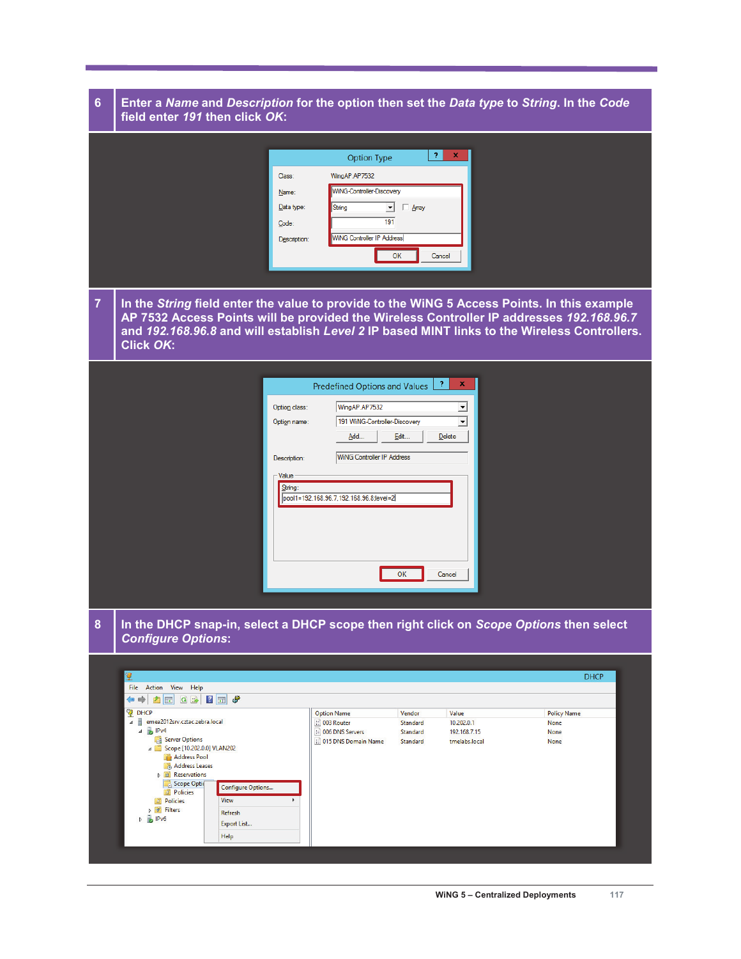## **6 Enter a** *Name* **and** *Description* **for the option then set the** *Data type* **to** *String***. In the** *Code* **field enter** *191* **then click** *OK***:**

| WingAP.AP7532<br>Class:<br>WiNG-Controller-Discovery                                                                                                 |
|------------------------------------------------------------------------------------------------------------------------------------------------------|
| $Name:$<br>Data type:<br>String<br>$\Box$ Array<br>$\mathbf{v}$<br>191<br>Code:<br><b>WiNG Controller IP Address</b><br>Description:<br>Cancel<br>OK |

**7 In the** *String* **field enter the value to provide to the WiNG 5 Access Points. In this example AP 7532 Access Points will be provided the Wireless Controller IP addresses** *192.168.96.7* **and** *192.168.96.8* **and will establish** *Level 2* **IP based MINT links to the Wireless Controllers. Click** *OK***:** 

|  | Option class:<br>Option name:                | $\mathbf x$<br>-2.<br>Predefined Options and Values<br>WingAP.AP7532<br>그<br>191 WiNG-Controller-Discovery<br>ᆋ<br>Edit<br>Add<br>Delete |  |
|--|----------------------------------------------|------------------------------------------------------------------------------------------------------------------------------------------|--|
|  | Description:<br>$\mathsf{-Value}$<br>String: | <b>WiNG Controller IP Address</b><br>pool1=192.168.96.7,192.168.96.8;level=2<br>Cancel<br>OK                                             |  |
|  |                                              |                                                                                                                                          |  |

**8 In the DHCP snap-in, select a DHCP scope then right click on** *Scope Options* **then select**  *Configure Options***:**